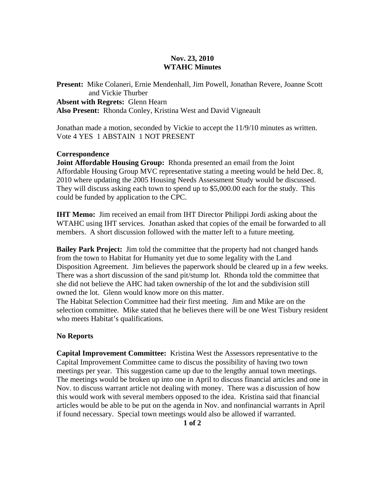## **Nov. 23, 2010 WTAHC Minutes**

**Present:** Mike Colaneri, Ernie Mendenhall, Jim Powell, Jonathan Revere, Joanne Scott and Vickie Thurber **Absent with Regrets:** Glenn Hearn **Also Present:** Rhonda Conley, Kristina West and David Vigneault

Jonathan made a motion, seconded by Vickie to accept the 11/9/10 minutes as written. Vote 4 YES 1 ABSTAIN 1 NOT PRESENT

## **Correspondence**

**Joint Affordable Housing Group:** Rhonda presented an email from the Joint Affordable Housing Group MVC representative stating a meeting would be held Dec. 8, 2010 where updating the 2005 Housing Needs Assessment Study would be discussed. They will discuss asking each town to spend up to \$5,000.00 each for the study. This could be funded by application to the CPC.

**IHT Memo:** Jim received an email from IHT Director Philippi Jordi asking about the WTAHC using IHT services. Jonathan asked that copies of the email be forwarded to all members. A short discussion followed with the matter left to a future meeting.

**Bailey Park Project:** Jim told the committee that the property had not changed hands from the town to Habitat for Humanity yet due to some legality with the Land Disposition Agreement. Jim believes the paperwork should be cleared up in a few weeks. There was a short discussion of the sand pit/stump lot. Rhonda told the committee that she did not believe the AHC had taken ownership of the lot and the subdivision still owned the lot. Glenn would know more on this matter.

The Habitat Selection Committee had their first meeting. Jim and Mike are on the selection committee. Mike stated that he believes there will be one West Tisbury resident who meets Habitat's qualifications.

## **No Reports**

**Capital Improvement Committee:** Kristina West the Assessors representative to the Capital Improvement Committee came to discus the possibility of having two town meetings per year. This suggestion came up due to the lengthy annual town meetings. The meetings would be broken up into one in April to discuss financial articles and one in Nov. to discuss warrant article not dealing with money. There was a discussion of how this would work with several members opposed to the idea. Kristina said that financial articles would be able to be put on the agenda in Nov. and nonfinancial warrants in April if found necessary. Special town meetings would also be allowed if warranted.